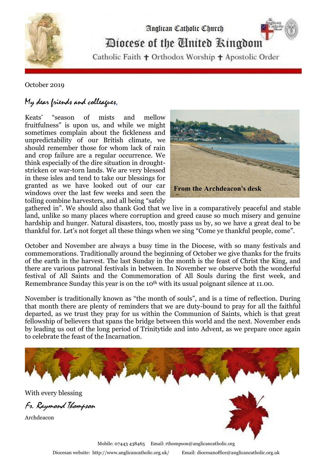

## Anglican Catholic Church Diocese of the Cinited Ringdom

Catholic Faith + Orthodox Worship + Apostolic Order

## October 2019

## My dear friends and colleagues,

Keats' "season of mists and mellow fruitfulness" is upon us, and while we might sometimes complain about the fickleness and unpredictability of our British climate, we should remember those for whom lack of rain and crop failure are a regular occurrence. We think especially of the dire situation in droughtstricken or war-torn lands. We are very blessed in these isles and tend to take our blessings for granted as we have looked out of our car windows over the last few weeks and seen the toiling combine harvesters, and all being "safely



gathered in". We should also thank God that we live in a comparatively peaceful and stable land, unlike so many places where corruption and greed cause so much misery and genuine hardship and hunger. Natural disasters, too, mostly pass us by, so we have a great deal to be thankful for. Let's not forget all these things when we sing "Come ye thankful people, come".

October and November are always a busy time in the Diocese, with so many festivals and commemorations. Traditionally around the beginning of October we give thanks for the fruits of the earth in the harvest. The last Sunday in the month is the feast of Christ the King, and there are various patronal festivals in between. In November we observe both the wonderful festival of All Saints and the Commemoration of All Souls during the first week, and Remembrance Sunday this year is on the 10<sup>th</sup> with its usual poignant silence at 11.00.

November is traditionally known as "the month of souls", and is a time of reflection. During that month there are plenty of reminders that we are duty-bound to pray for all the faithful departed, as we trust they pray for us within the Communion of Saints, which is that great fellowship of believers that spans the bridge between this world and the next. November ends by leading us out of the long period of Trinitytide and into Advent, as we prepare once again to celebrate the feast of the Incarnation.